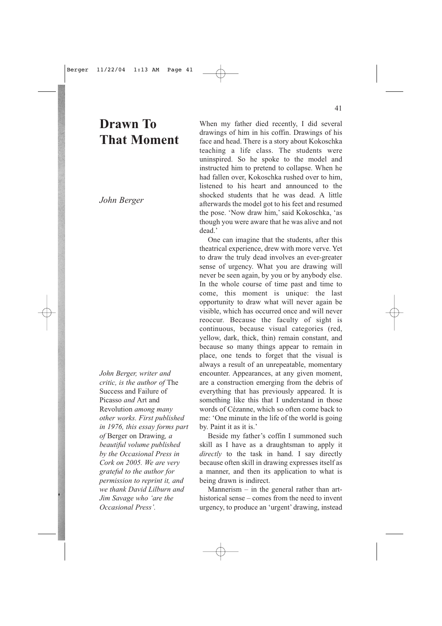## **Drawn To That Moment**

*John Berger*

*John Berger, writer and critic, is the author of* The Success and Failure of Picasso *and* Art and Revolution *among many other works. First published in 1976, this essay forms part of* Berger on Drawing*, a beautiful volume published by the Occasional Press in Cork on 2005. We are very grateful to the author for permission to reprint it, and we thank David Lilburn and Jim Savage who 'are the Occasional Press'.*

When my father died recently, I did several drawings of him in his coffin. Drawings of his face and head. There is a story about Kokoschka teaching a life class. The students were uninspired. So he spoke to the model and instructed him to pretend to collapse. When he had fallen over, Kokoschka rushed over to him, listened to his heart and announced to the shocked students that he was dead. A little afterwards the model got to his feet and resumed the pose. 'Now draw him,' said Kokoschka, 'as though you were aware that he was alive and not dead.'

One can imagine that the students, after this theatrical experience, drew with more verve. Yet to draw the truly dead involves an ever-greater sense of urgency. What you are drawing will never be seen again, by you or by anybody else. In the whole course of time past and time to come, this moment is unique: the last opportunity to draw what will never again be visible, which has occurred once and will never reoccur. Because the faculty of sight is continuous, because visual categories (red, yellow, dark, thick, thin) remain constant, and because so many things appear to remain in place, one tends to forget that the visual is always a result of an unrepeatable, momentary encounter. Appearances, at any given moment, are a construction emerging from the debris of everything that has previously appeared. It is something like this that I understand in those words of Cézanne, which so often come back to me: 'One minute in the life of the world is going by. Paint it as it is.'

Beside my father's coffin I summoned such skill as I have as a draughtsman to apply it *directly* to the task in hand. I say directly because often skill in drawing expresses itself as a manner, and then its application to what is being drawn is indirect.

Mannerism – in the general rather than arthistorical sense – comes from the need to invent urgency, to produce an 'urgent' drawing, instead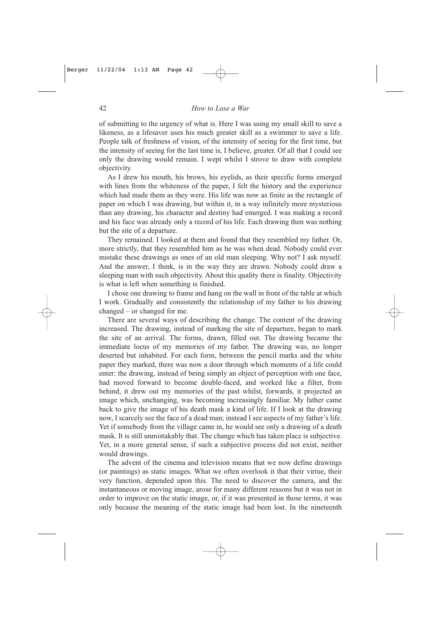of submitting to the urgency of what is. Here I was using my small skill to save a likeness, as a lifesaver uses his much greater skill as a swimmer to save a life. People talk of freshness of vision, of the intensity of seeing for the first time, but the intensity of seeing for the last time is, I believe, greater. Of all that I could see only the drawing would remain. I wept whilst I strove to draw with complete objectivity.

As I drew his mouth, his brows, his eyelids, as their specific forms emerged with lines from the whiteness of the paper. I felt the history and the experience which had made them as they were. His life was now as finite as the rectangle of paper on which I was drawing, but within it, in a way infinitely more mysterious than any drawing, his character and destiny had emerged. I was making a record and his face was already only a record of his life. Each drawing then was nothing but the site of a departure.

They remained. I looked at them and found that they resembled my father. Or, more strictly, that they resembled him as he was when dead. Nobody could ever mistake these drawings as ones of an old man sleeping. Why not? I ask myself. And the answer, I think, is in the way they are drawn. Nobody could draw a sleeping man with such objectivity. About this quality there is finality. Objectivity is what is left when something is finished.

I chose one drawing to frame and hang on the wall in front of the table at which I work. Gradually and consistently the relationship of my father to his drawing changed – or changed for me.

There are several ways of describing the change. The content of the drawing increased. The drawing, instead of marking the site of departure, began to mark the site of an arrival. The forms, drawn, filled out. The drawing became the immediate locus of my memories of my father. The drawing was, no longer deserted but inhabited. For each form, between the pencil marks and the white paper they marked, there was now a door through which moments of a life could enter: the drawing, instead of being simply an object of perception with one face, had moved forward to become double-faced, and worked like a filter, from behind, it drew out my memories of the past whilst, forwards, it projected an image which, unchanging, was becoming increasingly familiar. My father came back to give the image of his death mask a kind of life. If I look at the drawing now, I scarcely see the face of a dead man; instead I see aspects of my father's life. Yet if somebody from the village came in, he would see only a drawing of a death mask. It is still unmistakably that. The change which has taken place is subjective. Yet, in a more general sense, if such a subjective process did not exist, neither would drawings.

The advent of the cinema and television means that we now define drawings (or paintings) as static images. What we often overlook it that their virtue, their very function, depended upon this. The need to discover the camera, and the instantaneous or moving image, arose for many different reasons but it was not in order to improve on the static image, or, if it was presented in those terms, it was only because the meaning of the static image had been lost. In the nineteenth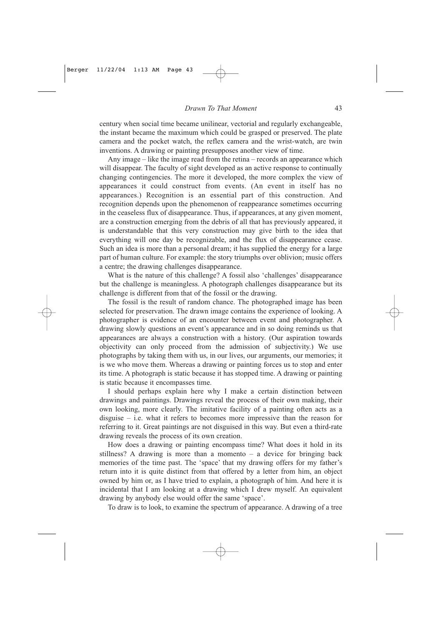century when social time became unilinear, vectorial and regularly exchangeable, the instant became the maximum which could be grasped or preserved. The plate camera and the pocket watch, the reflex camera and the wrist-watch, are twin inventions. A drawing or painting presupposes another view of time.

Any image – like the image read from the retina – records an appearance which will disappear. The faculty of sight developed as an active response to continually changing contingencies. The more it developed, the more complex the view of appearances it could construct from events. (An event in itself has no appearances.) Recognition is an essential part of this construction. And recognition depends upon the phenomenon of reappearance sometimes occurring in the ceaseless flux of disappearance. Thus, if appearances, at any given moment, are a construction emerging from the debris of all that has previously appeared, it is understandable that this very construction may give birth to the idea that everything will one day be recognizable, and the flux of disappearance cease. Such an idea is more than a personal dream; it has supplied the energy for a large part of human culture. For example: the story triumphs over oblivion; music offers a centre; the drawing challenges disappearance.

What is the nature of this challenge? A fossil also 'challenges' disappearance but the challenge is meaningless. A photograph challenges disappearance but its challenge is different from that of the fossil or the drawing.

The fossil is the result of random chance. The photographed image has been selected for preservation. The drawn image contains the experience of looking. A photographer is evidence of an encounter between event and photographer. A drawing slowly questions an event's appearance and in so doing reminds us that appearances are always a construction with a history. (Our aspiration towards objectivity can only proceed from the admission of subjectivity.) We use photographs by taking them with us, in our lives, our arguments, our memories; it is we who move them. Whereas a drawing or painting forces us to stop and enter its time. A photograph is static because it has stopped time. A drawing or painting is static because it encompasses time.

I should perhaps explain here why I make a certain distinction between drawings and paintings. Drawings reveal the process of their own making, their own looking, more clearly. The imitative facility of a painting often acts as a disguise – i.e. what it refers to becomes more impressive than the reason for referring to it. Great paintings are not disguised in this way. But even a third-rate drawing reveals the process of its own creation.

How does a drawing or painting encompass time? What does it hold in its stillness? A drawing is more than a momento  $-$  a device for bringing back memories of the time past. The 'space' that my drawing offers for my father's return into it is quite distinct from that offered by a letter from him, an object owned by him or, as I have tried to explain, a photograph of him. And here it is incidental that I am looking at a drawing which I drew myself. An equivalent drawing by anybody else would offer the same 'space'.

To draw is to look, to examine the spectrum of appearance. A drawing of a tree